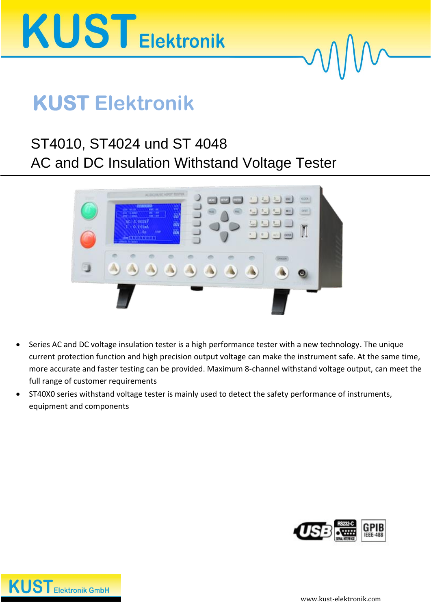

### **KUST Elektronik**

### ST4010, ST4024 und ST 4048 AC and DC Insulation Withstand Voltage Tester



- Series AC and DC voltage insulation tester is a high performance tester with a new technology. The unique current protection function and high precision output voltage can make the instrument safe. At the same time, more accurate and faster testing can be provided. Maximum 8-channel withstand voltage output, can meet the full range of customer requirements
- ST40X0 series withstand voltage tester is mainly used to detect the safety performance of instruments, equipment and components



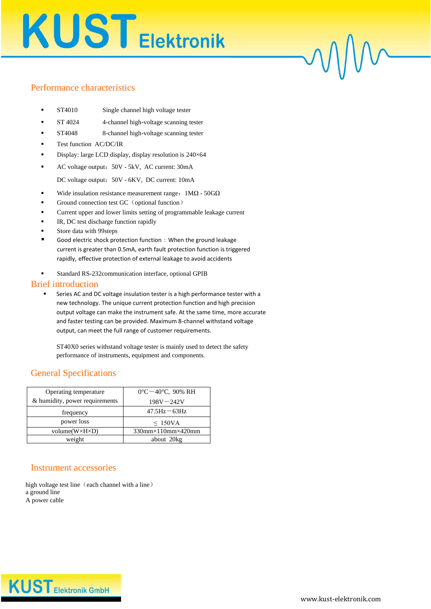## **KUST** Elektronik

#### Performance characteristics

- ST4010 Single channel high voltage tester
- ST 4024 4-channel high-voltage scanning tester
- ST4048 8-channel high-voltage scanning tester
- Test function AC/DC/IR
- Display: large LCD display, display resolution is 240×64
- AC voltage output: 50V 5kV, AC current: 30mA

DC voltage output: 50V - 6KV, DC current: 10mA

- Wide insulation resistance measurement range: 1MΩ 50GΩ
- Ground connection test GC (optional function)
- Current upper and lower limits setting of programmable leakage current
- IR, DC test discharge function rapidly
- Store data with 99steps
- Good electric shock protection function: When the ground leakage current is greater than 0.5mA, earth fault protection function is triggered rapidly, effective protection of external leakage to avoid accidents
- Standard RS-232communication interface, optional GPIB

#### Brief introduction

Series AC and DC voltage insulation tester is a high performance tester with a new technology. The unique current protection function and high precision output voltage can make the instrument safe. At the same time, more accurate and faster testing can be provided. Maximum 8-channel withstand voltage output, can meet the full range of customer requirements.

ST40X0 series withstand voltage tester is mainly used to detect the safety performance of instruments, equipment and components.

#### General Specifications

| Operating temperature          | $0^{\circ}$ C $-40^{\circ}$ C, 90% RH  |  |
|--------------------------------|----------------------------------------|--|
| & humidity, power requirements | $198V - 242V$                          |  |
| frequency                      | $47.5\text{Hz} - 63\text{Hz}$          |  |
| power loss                     | $\leq 150VA$                           |  |
| $volume(W \times H \times D)$  | $330$ mm $\times$ 110mm $\times$ 420mm |  |
| weight                         | about 20kg                             |  |

#### Instrument accessories

high voltage test line (each channel with a line) a ground line A power cable